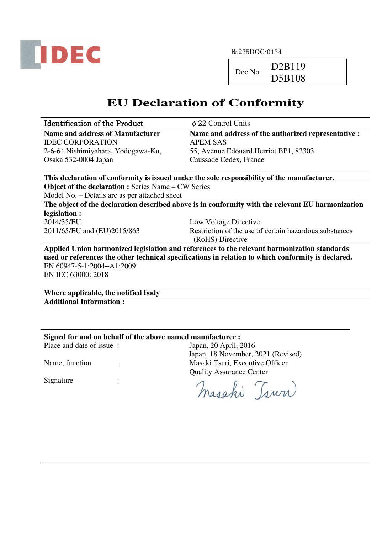

 $Doc No.$  D2B119 D5B108

# **EU Declaration of Conformity**

| <b>Identification of the Product</b> | $\phi$ 22 Control Units                             |
|--------------------------------------|-----------------------------------------------------|
| Name and address of Manufacturer     | Name and address of the authorized representative : |
| <b>IDEC CORPORATION</b>              | <b>APEM SAS</b>                                     |
| 2-6-64 Nishimiyahara, Yodogawa-Ku,   | 55, Avenue Edouard Herriot BP1, 82303               |
| Osaka 532-0004 Japan                 | Caussade Cedex, France                              |

**This declaration of conformity is issued under the sole responsibility of the manufacturer.** 

**Object of the declaration :** Series Name – CW Series

Model No. – Details are as per attached sheet

**The object of the declaration described above is in conformity with the relevant EU harmonization legislation :**  2014/35/EU Low Voltage Directive

2011/65/EU and (EU)2015/863 Restriction of the use of certain hazardous substances (RoHS) Directive

**Applied Union harmonized legislation and references to the relevant harmonization standards used or references the other technical specifications in relation to which conformity is declared.**  EN 60947-5-1:2004+A1:2009 EN IEC 63000: 2018

**Where applicable, the notified body Additional Information :** 

### **Signed for and on behalf of the above named manufacturer :**

Place and date of issue : Japan, 20 April, 2016

Signature :

Japan, 18 November, 2021 (Revised) Name, function : The Masaki Tsuri, Executive Officer Quality Assurance Center

masahi Tsuri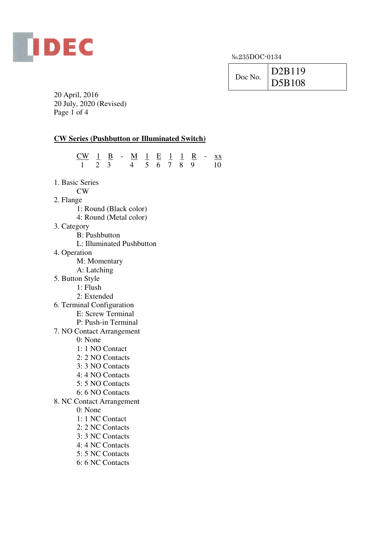

|         | D2B119 |
|---------|--------|
| Doc No. | D5B108 |

20 April, 2016 20 July, 2020 (Revised) Page 1 of 4

# **CW Series (Pushbutton or Illuminated Switch)**

|                           | $\frac{CW}{1} \quad \frac{1}{2} \quad \frac{B}{3} \quad - \quad \frac{M}{4} \quad \frac{1}{5} \quad \frac{E}{6} \quad \frac{1}{7} \quad \frac{1}{8} \quad \frac{R}{9} \quad - \quad \frac{XX}{10}$ |  |  |  |  |  |  |
|---------------------------|----------------------------------------------------------------------------------------------------------------------------------------------------------------------------------------------------|--|--|--|--|--|--|
|                           |                                                                                                                                                                                                    |  |  |  |  |  |  |
|                           |                                                                                                                                                                                                    |  |  |  |  |  |  |
| 1. Basic Series           |                                                                                                                                                                                                    |  |  |  |  |  |  |
|                           | CW                                                                                                                                                                                                 |  |  |  |  |  |  |
| 2. Flange                 |                                                                                                                                                                                                    |  |  |  |  |  |  |
|                           | 1: Round (Black color)                                                                                                                                                                             |  |  |  |  |  |  |
|                           | 4: Round (Metal color)                                                                                                                                                                             |  |  |  |  |  |  |
| 3. Category               |                                                                                                                                                                                                    |  |  |  |  |  |  |
|                           | <b>B</b> : Pushbutton                                                                                                                                                                              |  |  |  |  |  |  |
|                           | L: Illuminated Pushbutton                                                                                                                                                                          |  |  |  |  |  |  |
| 4. Operation              |                                                                                                                                                                                                    |  |  |  |  |  |  |
|                           | M: Momentary                                                                                                                                                                                       |  |  |  |  |  |  |
|                           | A: Latching                                                                                                                                                                                        |  |  |  |  |  |  |
| 5. Button Style           | 1: Flush                                                                                                                                                                                           |  |  |  |  |  |  |
|                           | 2: Extended                                                                                                                                                                                        |  |  |  |  |  |  |
| 6. Terminal Configuration |                                                                                                                                                                                                    |  |  |  |  |  |  |
|                           | E: Screw Terminal                                                                                                                                                                                  |  |  |  |  |  |  |
|                           | P: Push-in Terminal                                                                                                                                                                                |  |  |  |  |  |  |
| 7. NO Contact Arrangement |                                                                                                                                                                                                    |  |  |  |  |  |  |
|                           | 0: None                                                                                                                                                                                            |  |  |  |  |  |  |
|                           | 1: 1 NO Contact                                                                                                                                                                                    |  |  |  |  |  |  |
|                           | 2: 2 NO Contacts                                                                                                                                                                                   |  |  |  |  |  |  |
|                           | 3: 3 NO Contacts                                                                                                                                                                                   |  |  |  |  |  |  |
|                           | 4:4 NO Contacts                                                                                                                                                                                    |  |  |  |  |  |  |
|                           | 5: 5 NO Contacts                                                                                                                                                                                   |  |  |  |  |  |  |
|                           | 6: 6 NO Contacts                                                                                                                                                                                   |  |  |  |  |  |  |
| 8. NC Contact Arrangement |                                                                                                                                                                                                    |  |  |  |  |  |  |
|                           | 0: None                                                                                                                                                                                            |  |  |  |  |  |  |
|                           | 1: 1 NC Contact                                                                                                                                                                                    |  |  |  |  |  |  |
|                           | 2: 2 NC Contacts                                                                                                                                                                                   |  |  |  |  |  |  |
|                           | 3: 3 NC Contacts                                                                                                                                                                                   |  |  |  |  |  |  |
|                           | 4: 4 NC Contacts                                                                                                                                                                                   |  |  |  |  |  |  |
|                           | 5: 5 NC Contacts                                                                                                                                                                                   |  |  |  |  |  |  |
|                           | 6: 6 NC Contacts                                                                                                                                                                                   |  |  |  |  |  |  |
|                           |                                                                                                                                                                                                    |  |  |  |  |  |  |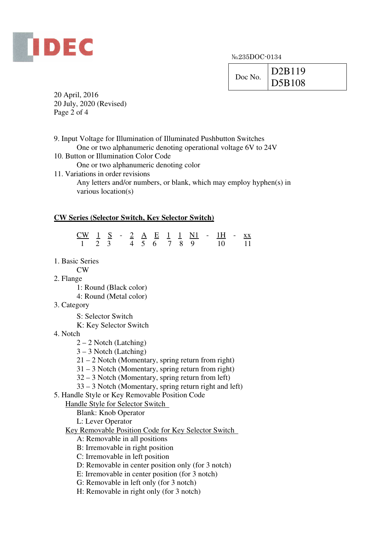

|         | D2B119 |
|---------|--------|
| Doc No. | D5B108 |

20 April, 2016 20 July, 2020 (Revised) Page 2 of 4

9. Input Voltage for Illumination of Illuminated Pushbutton Switches One or two alphanumeric denoting operational voltage 6V to 24V 10. Button or Illumination Color Code One or two alphanumeric denoting color 11. Variations in order revisions Any letters and/or numbers, or blank, which may employ hyphen(s) in various location(s)

#### **CW Series (Selector Switch, Key Selector Switch)**

| CW $1 S - 2 A E 1 1 N1 - 1H - xx$ |  |  |  |  |  |                         |  |
|-----------------------------------|--|--|--|--|--|-------------------------|--|
|                                   |  |  |  |  |  | 1 2 3 4 5 6 7 8 9 10 11 |  |

- 1. Basic Series
	- CW
- 2. Flange
	- 1: Round (Black color)
	- 4: Round (Metal color)
- 3. Category
	- S: Selector Switch
	- K: Key Selector Switch
- 4. Notch
	- $2 2$  Notch (Latching)
	- 3 3 Notch (Latching)
	- 21 2 Notch (Momentary, spring return from right)
	- 31 3 Notch (Momentary, spring return from right)
	- 32 3 Notch (Momentary, spring return from left)
	- 33 3 Notch (Momentary, spring return right and left)
- 5. Handle Style or Key Removable Position Code

#### Handle Style for Selector Switch

- Blank: Knob Operator
- L: Lever Operator
- Key Removable Position Code for Key Selector Switch
	- A: Removable in all positions
	- B: Irremovable in right position
	- C: Irremovable in left position
	- D: Removable in center position only (for 3 notch)
	- E: Irremovable in center position (for 3 notch)
	- G: Removable in left only (for 3 notch)
	- H: Removable in right only (for 3 notch)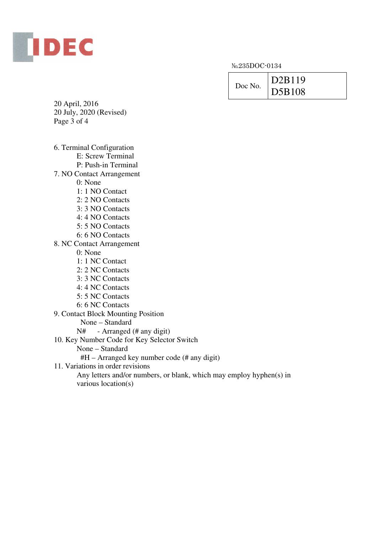

| Doc No. | D2B119 |
|---------|--------|
|         | D5B108 |

20 April, 2016 20 July, 2020 (Revised) Page 3 of 4

6. Terminal Configuration

E: Screw Terminal

P: Push-in Terminal

7. NO Contact Arrangement

0: None

- 1: 1 NO Contact
- 2: 2 NO Contacts
- 3: 3 NO Contacts
- 4: 4 NO Contacts
- 5: 5 NO Contacts
- 6: 6 NO Contacts

8. NC Contact Arrangement

0: None

- 1: 1 NC Contact
- 2: 2 NC Contacts
- 3: 3 NC Contacts
- 4: 4 NC Contacts
- 5: 5 NC Contacts
- 6: 6 NC Contacts
- 9. Contact Block Mounting Position
	- None Standard
	- N# Arranged (# any digit)
- 10. Key Number Code for Key Selector Switch
	- None Standard
	- #H Arranged key number code (# any digit)
- 11. Variations in order revisions

 Any letters and/or numbers, or blank, which may employ hyphen(s) in various location(s)